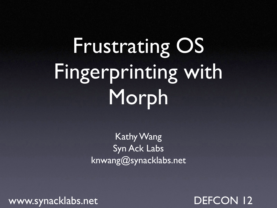# Frustrating OS Fingerprinting with Morph

Kathy Wang Syn Ack Labs knwang@synacklabs.net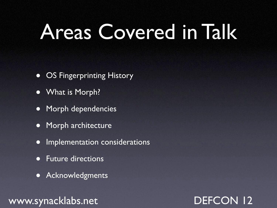## Areas Covered in Talk

- OS Fingerprinting History
- What is Morph?
- Morph dependencies
- Morph architecture
- Implementation considerations
- Future directions
- **Acknowledgments**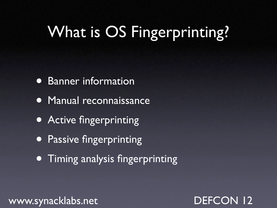### What is OS Fingerprinting?

- Banner information
- Manual reconnaissance
- Active fingerprinting
- **Passive fingerprinting**
- Timing analysis fingerprinting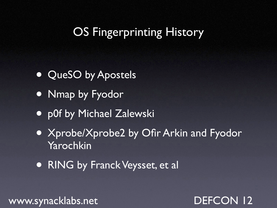### OS Fingerprinting History

- QueSO by Apostels
- Nmap by Fyodor
- p0f by Michael Zalewski
- Xprobe/Xprobe2 by Ofir Arkin and Fyodor Yarochkin
- RING by Franck Veysset, et al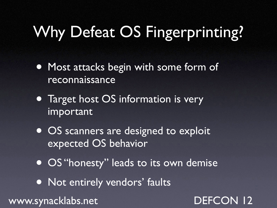### Why Defeat OS Fingerprinting?

- Most attacks begin with some form of reconnaissance
- Target host OS information is very important
- **OS scanners are designed to exploit** expected OS behavior
- **OS "honesty" leads to its own demise**
- Not entirely vendors' faults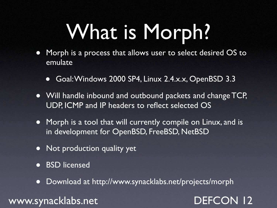## What is Morph?

- Morph is a process that allows user to select desired OS to emulate
	- Goal: Windows 2000 SP4, Linux 2.4.x.x, OpenBSD 3.3
- Will handle inbound and outbound packets and change TCP, UDP, ICMP and IP headers to reflect selected OS
- Morph is a tool that will currently compile on Linux, and is in development for OpenBSD, FreeBSD, NetBSD
- Not production quality yet
- **BSD** licensed
- Download at http://www.synacklabs.net/projects/morph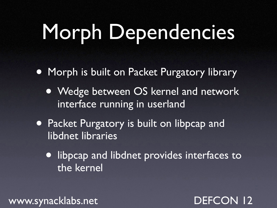# Morph Dependencies

- Morph is built on Packet Purgatory library
	- Wedge between OS kernel and network interface running in userland
- Packet Purgatory is built on libpcap and libdnet libraries
	- libpcap and libdnet provides interfaces to the kernel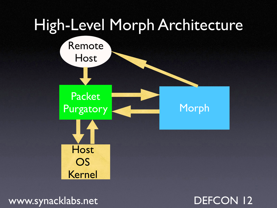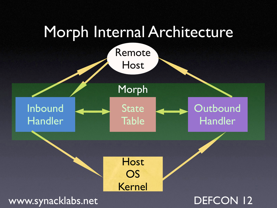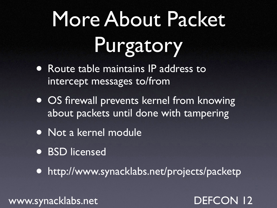# More About Packet Purgatory

- Route table maintains IP address to intercept messages to/from
- OS firewall prevents kernel from knowing about packets until done with tampering
- Not a kernel module
- BSD licensed

• http://www.synacklabs.net/projects/packetp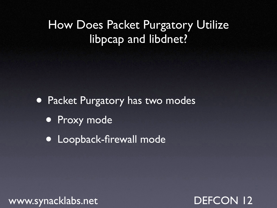### How Does Packet Purgatory Utilize libpcap and libdnet?

• Packet Purgatory has two modes

- Proxy mode
- Loopback-firewall mode

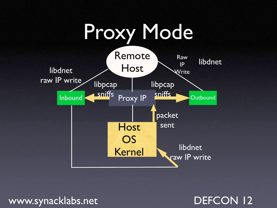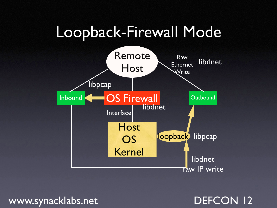### Loopback-Firewall Mode

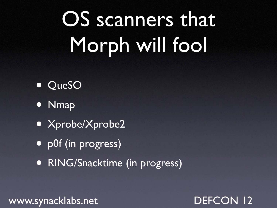# OS scanners that Morph will fool

- QueSO
- Nmap
- Xprobe/Xprobe2
- p0f (in progress)
- **RING/Snacktime (in progress)**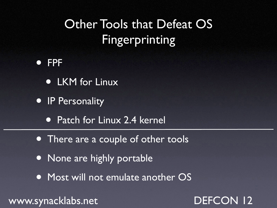### Other Tools that Defeat OS Fingerprinting

#### • FPF

- LKM for Linux
- IP Personality
	- Patch for Linux 2.4 kernel
- There are a couple of other tools
- None are highly portable
- Most will not emulate another OS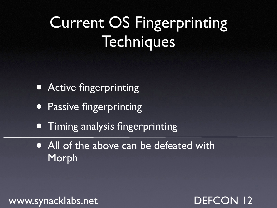## Current OS Fingerprinting **Techniques**

- **Active fingerprinting**
- **Passive fingerprinting**
- Timing analysis fingerprinting
- All of the above can be defeated with Morph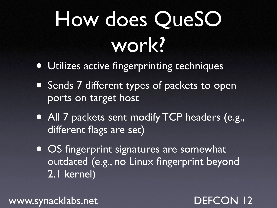# How does QueSO work?

- Utilizes active fingerprinting techniques
- Sends 7 different types of packets to open ports on target host
- All 7 packets sent modify TCP headers (e.g., different flags are set)
- OS fingerprint signatures are somewhat outdated (e.g., no Linux fingerprint beyond 2.1 kernel)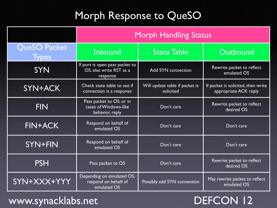### Morph Response to QueSO

|                              | <b>Morph Handling Status</b>                                          |                                             |                                                             |  |
|------------------------------|-----------------------------------------------------------------------|---------------------------------------------|-------------------------------------------------------------|--|
| QueSO Packet<br><b>Types</b> | Inbound                                                               | <b>State Table</b>                          | Outbound                                                    |  |
| <b>SYN</b>                   | If port is open pass packet to<br>OS, else write RST as a<br>response | <b>Add SYN connection</b>                   | Rewrite packet to reflect<br>emulated OS                    |  |
| SYN+ACK                      | Check state table to see if<br>connection is a response               | Will update table if packet is<br>solicited | If packet is solicited, then write<br>appropriate ACK reply |  |
| <b>FIN</b>                   | Pass packet to OS, or in<br>cases of Windows-like<br>behavior, reply  | Don't care                                  | Rewrite packet to reflect<br>desired OS                     |  |
| <b>FIN+ACK</b>               | Respond on behalf of<br>emulated OS                                   | Don't care                                  | Don't care                                                  |  |
| SYN+FIN                      | Respond on behalf of<br>emulated OS                                   | Don't care                                  | Don't care                                                  |  |
| <b>PSH</b>                   | Pass packet to OS                                                     | Don't care                                  | Rewrite packet to reflect<br>desired OS                     |  |
| SYN+XXX+YYY                  | Depending on emulated OS,<br>respond on behalf of<br>emulated OS      | Possibly add SYN connection                 | May rewrite packet to reflect<br>emulated OS                |  |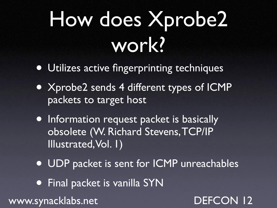# How does Xprobe2 work?

- Utilizes active fingerprinting techniques
- Xprobe2 sends 4 different types of ICMP packets to target host
- Information request packet is basically obsolete (W. Richard Stevens,TCP/IP Illustrated,Vol. 1)
- UDP packet is sent for ICMP unreachables
- Final packet is vanilla SYN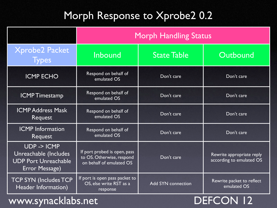#### Morph Response to Xprobe2 0.2

|                                                                                       | <b>Morph Handling Status</b>                                                          |                           |                                                       |  |
|---------------------------------------------------------------------------------------|---------------------------------------------------------------------------------------|---------------------------|-------------------------------------------------------|--|
| <b>Xprobe2 Packet</b><br><b>Types</b>                                                 | <b>Inbound</b>                                                                        | <b>State Table</b>        | Outbound                                              |  |
| <b>ICMP ECHO</b>                                                                      | Respond on behalf of<br>emulated OS                                                   | Don't care                | Don't care                                            |  |
| <b>ICMPTimestamp</b>                                                                  | Respond on behalf of<br>emulated OS                                                   | Don't care                | Don't care                                            |  |
| <b>ICMP Address Mask</b><br><b>Request</b>                                            | Respond on behalf of<br>emulated OS                                                   | Don't care                | Don't care                                            |  |
| <b>ICMP</b> Information<br><b>Request</b>                                             | Respond on behalf of<br>emulated OS                                                   | Don't care                | Don't care                                            |  |
| UDP -> ICMP<br>Unreachable (Includes<br><b>UDP Port Unreachable</b><br>Error Message) | If port probed is open, pass<br>to OS. Otherwise, respond<br>on behalf of emulated OS | Don't care                | Rewrite appropriate reply<br>according to emulated OS |  |
| <b>TCP SYN (Includes TCP</b><br>Header Information)                                   | If port is open pass packet to<br>OS, else write RST as a<br>response                 | <b>Add SYN connection</b> | Rewrite packet to reflect<br>emulated OS              |  |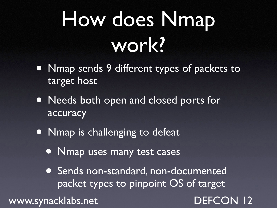# How does Nmap work?

- Nmap sends 9 different types of packets to target host
- Needs both open and closed ports for accuracy
- Nmap is challenging to defeat
	- Nmap uses many test cases
	- Sends non-standard, non-documented packet types to pinpoint OS of target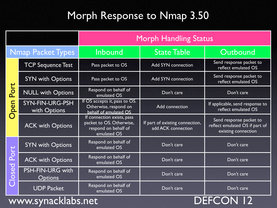### Morph Response to Nmap 3.50

|                          |                                           | <b>Morph Handling Status</b>                                                                  |                                                       |                                                                                  |
|--------------------------|-------------------------------------------|-----------------------------------------------------------------------------------------------|-------------------------------------------------------|----------------------------------------------------------------------------------|
| <b>Nmap Packet Types</b> |                                           | Inbound                                                                                       | <b>State Table</b>                                    | Outbound                                                                         |
| Port<br>pen              | <b>TCP Sequence Test</b>                  | Pass packet to OS                                                                             | <b>Add SYN connection</b>                             | Send response packet to<br>reflect emulated OS                                   |
|                          | <b>SYN with Options</b>                   | Pass packet to OS                                                                             | <b>Add SYN connection</b>                             | Send response packet to<br>reflect emulated OS                                   |
|                          | <b>NULL with Options</b>                  | Respond on behalf of<br>emulated OS                                                           | Don't care                                            | Don't care                                                                       |
|                          | SYN-FIN-URG-PSH<br>with Options           | If OS accepts it, pass to OS.<br>Otherwise, respond on<br>behalf of emulated OS               | <b>Add connection</b>                                 | If applicable, send response to<br>reflect emulated OS                           |
|                          | <b>ACK with Options</b>                   | If connection exists, pass<br>packet to OS. Otherwise,<br>respond on behalf of<br>emulated OS | If part of existing connection,<br>add ACK connection | Send response packet to<br>reflect emulated OS if part of<br>existing connection |
| Port<br>baso             | <b>SYN with Options</b>                   | Respond on behalf of<br>emulated OS                                                           | Don't care                                            | Don't care                                                                       |
|                          | <b>ACK with Options</b>                   | Respond on behalf of<br>emulated OS                                                           | Don't care                                            | Don't care                                                                       |
|                          | <b>PSH-FIN-URG with</b><br><b>Options</b> | Respond on behalf of<br>emulated OS                                                           | Don't care                                            | Don't care                                                                       |
|                          | <b>UDP Packet</b>                         | Respond on behalf of<br>emulated OS                                                           | Don't care                                            | Don't care                                                                       |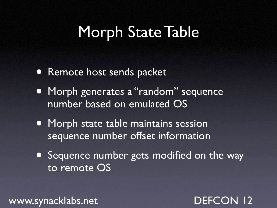### Morph State Table

- Remote host sends packet
- Morph generates a "random" sequence number based on emulated OS
- Morph state table maintains session sequence number offset information
- **Sequence number gets modified on the way** to remote OS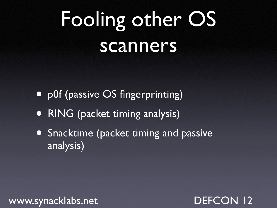## Fooling other OS scanners

- p0f (passive OS fingerprinting)
- RING (packet timing analysis)
- Snacktime (packet timing and passive analysis)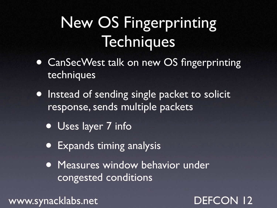## New OS Fingerprinting **Techniques**

- CanSecWest talk on new OS fingerprinting techniques
- Instead of sending single packet to solicit response, sends multiple packets
	- Uses layer 7 info
	- Expands timing analysis
	- Measures window behavior under congested conditions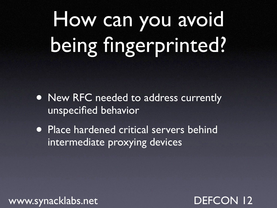# How can you avoid being fingerprinted?

- New RFC needed to address currently unspecified behavior
- Place hardened critical servers behind intermediate proxying devices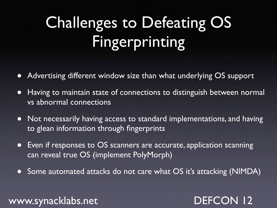## Challenges to Defeating OS Fingerprinting

- Advertising different window size than what underlying OS support
- Having to maintain state of connections to distinguish between normal vs abnormal connections
- Not necessarily having access to standard implementations, and having to glean information through fingerprints
- Even if responses to OS scanners are accurate, application scanning can reveal true OS (implement PolyMorph)
- Some automated attacks do not care what OS it's attacking (NIMDA)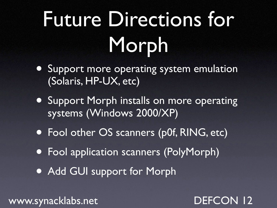# Future Directions for Morph

- Support more operating system emulation (Solaris, HP-UX, etc)
- **Support Morph installs on more operating** systems (Windows 2000/XP)
- Fool other OS scanners (p0f, RING, etc)
- Fool application scanners (PolyMorph)
- Add GUI support for Morph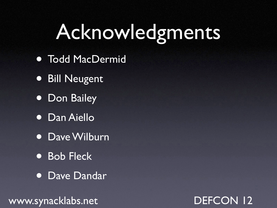## Acknowledgments

- Todd MacDermid
- Bill Neugent
- Don Bailey
- Dan Aiello
- Dave Wilburn
- Bob Fleck
- Dave Dandar